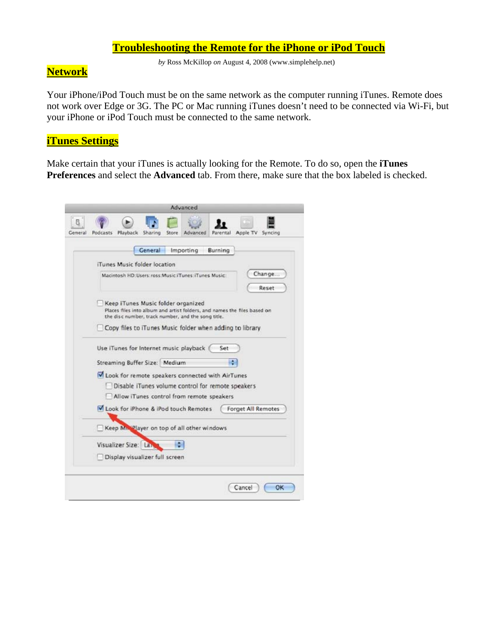### **Troubleshooting the Remote for the iPhone or iPod Touch**

*by* Ross McKillop *on* August 4, 2008 (www.simplehelp.net)

# **Network**

Your iPhone/iPod Touch must be on the same network as the computer running iTunes. Remote does not work over Edge or 3G. The PC or Mac running iTunes doesn't need to be connected via Wi-Fi, but your iPhone or iPod Touch must be connected to the same network.

### **iTunes Settings**

Make certain that your iTunes is actually looking for the Remote. To do so, open the **iTunes Preferences** and select the **Advanced** tab. From there, make sure that the box labeled is checked.

|              | Advanced                                                                                                                                                             |
|--------------|----------------------------------------------------------------------------------------------------------------------------------------------------------------------|
| 8<br>Gemeral | Playback Sharing<br>Apple TV<br>Podcasts<br>Advanced<br>Syncing<br>Store<br>Parental                                                                                 |
|              | General<br>Importing<br>Burning                                                                                                                                      |
|              | iTunes Music folder location                                                                                                                                         |
|              | Change<br>Macintosh HD:Users: ross:Music:iTunes: iTunes Music:<br>Reset                                                                                              |
|              | Keep iTunes Music folder organized<br>Places files into album and artist folders, and names the files based on<br>the disc number, track number, and the song title. |
|              | Copy files to iTunes Music folder when adding to library                                                                                                             |
|              | Use iTunes for Internet music playback<br>Set                                                                                                                        |
|              | H<br>Streaming Buffer Size: Medium                                                                                                                                   |
|              | Look for remote speakers connected with AirTunes<br>Disable iTunes volume control for remote speakers<br>Allow iTunes control from remote speakers                   |
|              | Look for iPhone & iPod touch Remotes<br><b>Forget All Remotes</b>                                                                                                    |
|              | Keep MiscPlayer on top of all other windows                                                                                                                          |
|              | ٠<br>Visualizer Size: Lar                                                                                                                                            |
|              | Display visualizer full screen                                                                                                                                       |
|              | Cancel<br>ОK                                                                                                                                                         |
|              |                                                                                                                                                                      |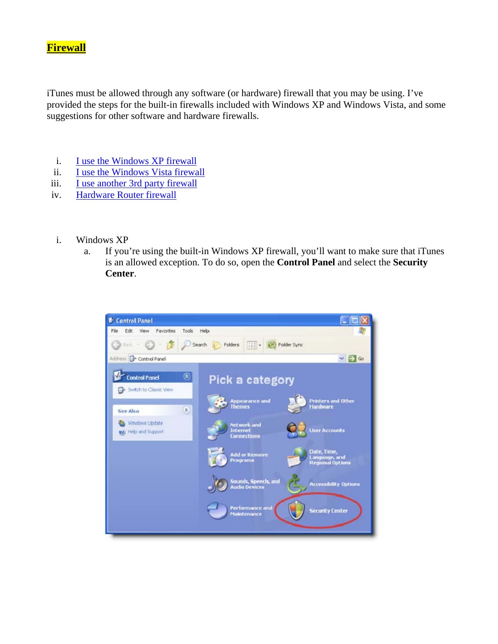# **Firewall**

iTunes must be allowed through any software (or hardware) firewall that you may be using. I've provided the steps for the built-in firewalls included with Windows XP and Windows Vista, and some suggestions for other software and hardware firewalls.

- i. I use the Windows XP firewall
- ii. I use the Windows Vista firewall
- iii. I use another 3rd party firewall
- iv. Hardware Router firewall
- i. Windows XP
	- a. If you're using the built-in Windows XP firewall, you'll want to make sure that iTunes is an allowed exception. To do so, open the **Control Panel** and select the **Security Center**.

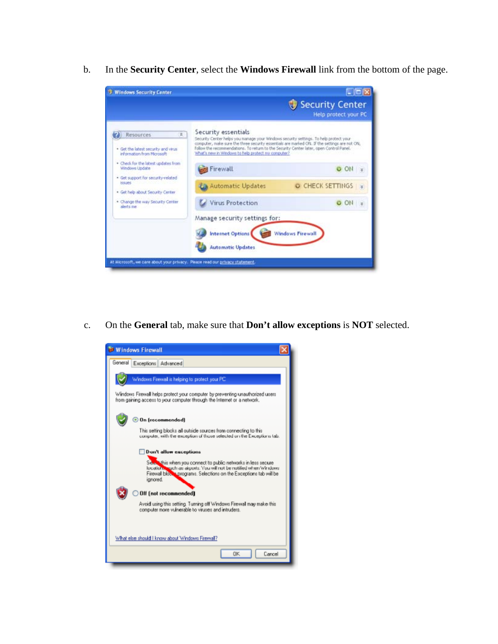b. In the **Security Center**, select the **Windows Firewall** link from the bottom of the page.



c. On the **General** tab, make sure that **Don't allow exceptions** is **NOT** selected.

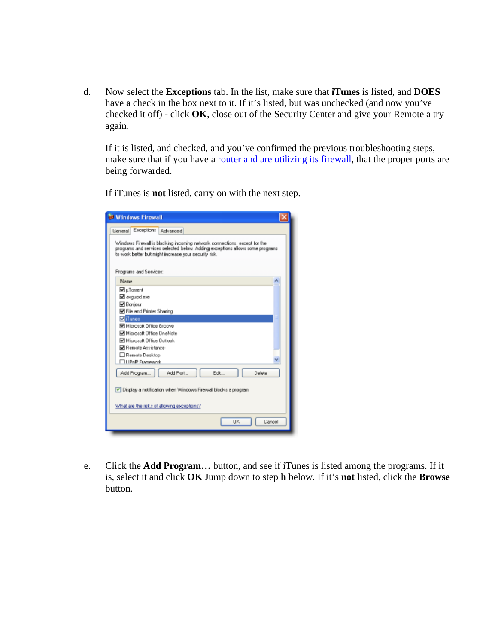d. Now select the **Exceptions** tab. In the list, make sure that **iTunes** is listed, and **DOES** have a check in the box next to it. If it's listed, but was unchecked (and now you've checked it off) - click **OK**, close out of the Security Center and give your Remote a try again.

If it is listed, and checked, and you've confirmed the previous troubleshooting steps, make sure that if you have a <u>router and are utilizing</u> its firewall, that the proper ports are being forwarded.

If iTunes is **not** listed, carry on with the next step.

| <b>B</b> Windows Firewall                                                                                                                                                                                          |  |
|--------------------------------------------------------------------------------------------------------------------------------------------------------------------------------------------------------------------|--|
| Exceptions<br>Advanced<br>Lieneral                                                                                                                                                                                 |  |
| Windows Firewall is blocking incoming network connections, except for the<br>programs and services selected below. Adding exceptions allows some programs<br>to work better but might increase your security risk. |  |
| Programs and Services:                                                                                                                                                                                             |  |
| Name                                                                                                                                                                                                               |  |
| MuToment<br>⊠ avgupd.exe<br><b>⊠</b> Boniour<br><b>⊠ File and Printer Sharing</b>                                                                                                                                  |  |
| Millimes                                                                                                                                                                                                           |  |
| Microsoft Office Groove                                                                                                                                                                                            |  |
| Microsoft Office OneNote                                                                                                                                                                                           |  |
| Microsoft Office Outlook                                                                                                                                                                                           |  |
| Remote Assistance:                                                                                                                                                                                                 |  |
| Remote Desktop<br><b>THPoP Framework</b>                                                                                                                                                                           |  |
|                                                                                                                                                                                                                    |  |
| Add Port<br>Edit<br>Add Program.<br>Delete                                                                                                                                                                         |  |
| V Display a notification when Windows Firewall blocks a program                                                                                                                                                    |  |
| What are the risks of allowing exceptions?                                                                                                                                                                         |  |
| UK.<br>Cancel                                                                                                                                                                                                      |  |

e. Click the **Add Program…** button, and see if iTunes is listed among the programs. If it is, select it and click **OK** Jump down to step **h** below. If it's **not** listed, click the **Browse** button.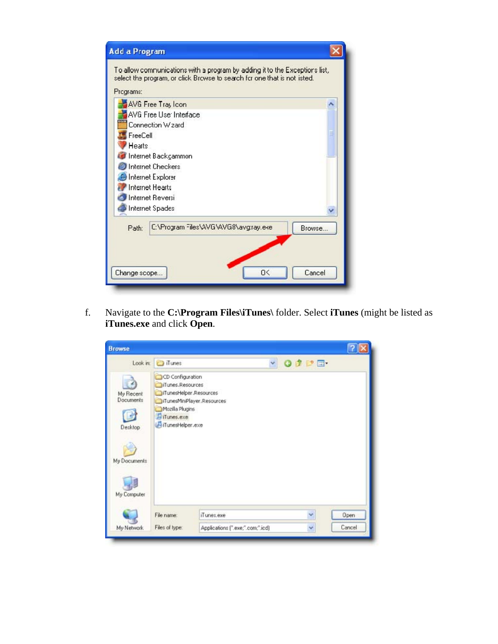| Add a Program                                                                                                                                           |  |
|---------------------------------------------------------------------------------------------------------------------------------------------------------|--|
| To allow communications with a program by adding it to the Exceptions list,<br>select the program, or click Browse to search for one that is not isted. |  |
| Programa:                                                                                                                                               |  |
| AVG Free Tray Icon                                                                                                                                      |  |
| AVG Free Use: Interface                                                                                                                                 |  |
| Connection W <sub>zard</sub>                                                                                                                            |  |
| FreeCell                                                                                                                                                |  |
| <b>Hearts</b>                                                                                                                                           |  |
| Internet Backgammon                                                                                                                                     |  |
| <b>Internet Checkers</b>                                                                                                                                |  |
| Internet Explorer                                                                                                                                       |  |
| <b>Internet Hearts</b>                                                                                                                                  |  |
| Internet Reversi                                                                                                                                        |  |
| Internet Spades                                                                                                                                         |  |
| C:\Program Files\AVG\AVG8\avg:ray.eke<br>Path:<br>Browse                                                                                                |  |
| Cancel<br>O<<br>Change scope                                                                                                                            |  |

f. Navigate to the **C:\Program Files\iTunes\** folder. Select **iTunes** (might be listed as **iTunes.exe** and click **Open**.

| <b>Browse</b>                                            |                                                                                                                        |                                  |  |        |        |
|----------------------------------------------------------|------------------------------------------------------------------------------------------------------------------------|----------------------------------|--|--------|--------|
|                                                          | Look in: Tunes                                                                                                         |                                  |  | vodpm- |        |
| My Recent<br><b>Documents</b><br>Desktop<br>My Documents | CD Configuration<br>iTunes.Resources<br>iTunesHelper.Resources<br>Mozilla Plugins<br>Il iTunes.exe<br>iTunesHelper.exe | iTunesMiniPlayer.Resources       |  |        |        |
| My Computer                                              |                                                                                                                        |                                  |  |        |        |
|                                                          | File name:                                                                                                             | iTunes.exe                       |  | v      | Open   |
| My Network                                               | Files of type:                                                                                                         | Applications [".exe;".com;".icd] |  | v      | Cancel |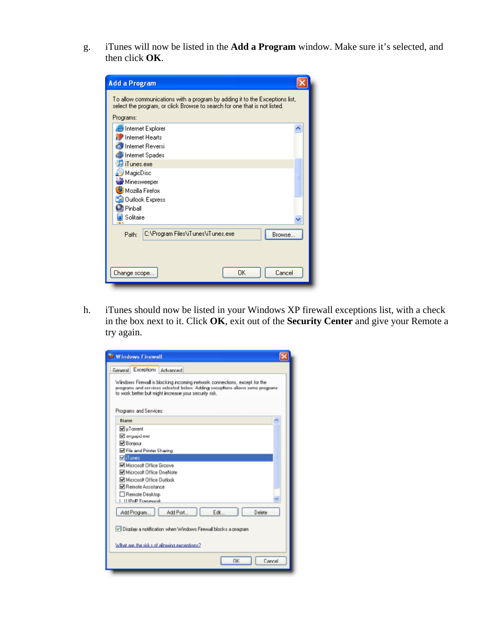g. iTunes will now be listed in the **Add a Program** window. Make sure it's selected, and then click **OK**.

| <b>Add a Program</b><br>To allow communications with a program by adding it to the Exceptions list,<br>select the program, or click Browse to search for one that is not listed.                           |
|------------------------------------------------------------------------------------------------------------------------------------------------------------------------------------------------------------|
| Programs:                                                                                                                                                                                                  |
| <b>B</b> Internet Explorer<br><b>Internet Hearts</b><br>Internet Reversi<br>Internet Spades<br>iTunes.exe<br>MagicDisc<br>Minesweeper<br>Mozilla Firefox<br><b>Outlook Express</b><br>Pinball<br>Solitaire |
| C:\Program Files\iTunes\iTunes.exe<br>Browse<br>Path:<br>0K<br>Cancel<br>Change scope                                                                                                                      |

h. iTunes should now be listed in your Windows XP firewall exceptions list, with a check in the box next to it. Click **OK**, exit out of the **Security Center** and give your Remote a try again.

| <b>B</b> Windows Firewall                                                                                                                                                                                          |  |
|--------------------------------------------------------------------------------------------------------------------------------------------------------------------------------------------------------------------|--|
| General Exceptions Advanced                                                                                                                                                                                        |  |
| Windows Firewall is blocking incoming network connections, except for the<br>programs and scrvices selected below. Adding exceptions allows some programs<br>to work better but might increase your security risk. |  |
| Programs and Services:                                                                                                                                                                                             |  |
| Name                                                                                                                                                                                                               |  |
| $\nabla$ µ Toment                                                                                                                                                                                                  |  |
| E avgup dese                                                                                                                                                                                                       |  |
| <b>⊠</b> Bonjour                                                                                                                                                                                                   |  |
| File and Printer Sharing                                                                                                                                                                                           |  |
| <b>M</b> iTunes                                                                                                                                                                                                    |  |
| Microsoft Office Groove<br>Microsoft Office OneNote                                                                                                                                                                |  |
| Microsoft Office Outlook                                                                                                                                                                                           |  |
| Remote Assistance:                                                                                                                                                                                                 |  |
| Remote Desktop                                                                                                                                                                                                     |  |
| <b>LUPAP Framework</b>                                                                                                                                                                                             |  |
| Edit<br>Delete<br>Add Port<br>Add Program.                                                                                                                                                                         |  |
| V Display a notification when Windows Firewall blocks a program                                                                                                                                                    |  |
| What are the risk s of allowing exceptions?                                                                                                                                                                        |  |
| OK<br>Cancel                                                                                                                                                                                                       |  |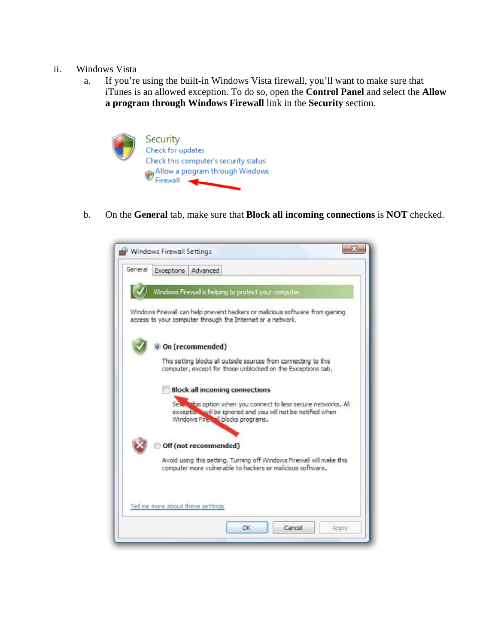#### ii. Windows Vista

a. If you're using the built-in Windows Vista firewall, you'll want to make sure that iTunes is an allowed exception. To do so, open the **Control Panel** and select the **Allow a program through Windows Firewall** link in the **Security** section.



b. On the **General** tab, make sure that **Block all incoming connections** is **NOT** checked.

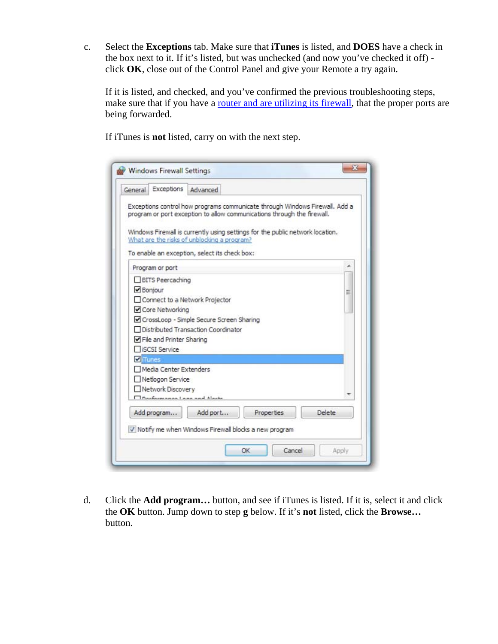c. Select the **Exceptions** tab. Make sure that **iTunes** is listed, and **DOES** have a check in the box next to it. If it's listed, but was unchecked (and now you've checked it off) click **OK**, close out of the Control Panel and give your Remote a try again.

If it is listed, and checked, and you've confirmed the previous troubleshooting steps, make sure that if you have a router and are utilizing its firewall, that the proper ports are being forwarded.

If iTunes is **not** listed, carry on with the next step.

| General                                  | Exceptions                                                      | Advanced                                                                          |                                                                                                                                                          |                                                                             |
|------------------------------------------|-----------------------------------------------------------------|-----------------------------------------------------------------------------------|----------------------------------------------------------------------------------------------------------------------------------------------------------|-----------------------------------------------------------------------------|
|                                          |                                                                 | What are the risks of unblocking a program?                                       | program or port exception to allow communications through the firewall.<br>Windows Firewall is currently using settings for the public network location. | Exceptions control how programs communicate through Windows Firewall. Add a |
| Program or port                          |                                                                 | To enable an exception, select its check box:                                     |                                                                                                                                                          |                                                                             |
| Bonjour                                  | <b>BITS</b> Peercaching<br>Core Networking                      | □ Connect to a Network Projector                                                  |                                                                                                                                                          | Ξ                                                                           |
| <b>TiSCSI Service</b><br><b>V</b> iTunes | File and Printer Sharing                                        | CrossLoop - Simple Secure Screen Sharing<br>□ Distributed Transaction Coordinator |                                                                                                                                                          |                                                                             |
|                                          | Media Center Extenders<br>Netlogon Service<br>Network Discovery | Doubonnessed Lane and Alaska                                                      |                                                                                                                                                          |                                                                             |
| Add program                              |                                                                 | Add port                                                                          | Properties<br>V Notify me when Windows Firewall blocks a new program                                                                                     | Delete                                                                      |

d. Click the **Add program…** button, and see if iTunes is listed. If it is, select it and click the **OK** button. Jump down to step **g** below. If it's **not** listed, click the **Browse…** button.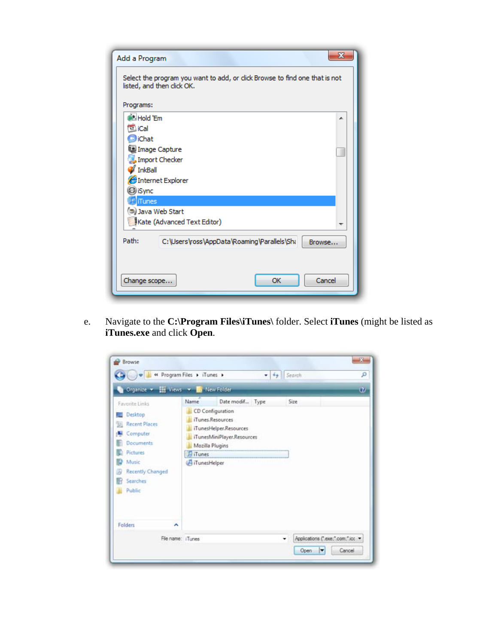| х<br>Add a Program                                                                                        |
|-----------------------------------------------------------------------------------------------------------|
| Select the program you want to add, or click Browse to find one that is not<br>listed, and then click OK. |
| Programs:                                                                                                 |
| <b>M. Hold 'Fm</b><br>┻                                                                                   |
| <b>EL</b> iCal                                                                                            |
| <b>D</b> iChat                                                                                            |
| Image Capture                                                                                             |
| Import Checker                                                                                            |
| InkBall                                                                                                   |
| Internet Explorer                                                                                         |
| C iSync                                                                                                   |
| <b>iTunes</b>                                                                                             |
| Java Web Start                                                                                            |
| Kate (Advanced Text Editor)<br>┯                                                                          |
| Path:<br>C:\Users\ross\AppData\Roaming\Parallels\Sha<br>Browse                                            |
| Cancel<br>OK<br>Change scope                                                                              |

e. Navigate to the **C:\Program Files\iTunes\** folder. Select **iTunes** (might be listed as **iTunes.exe** and click **Open**.

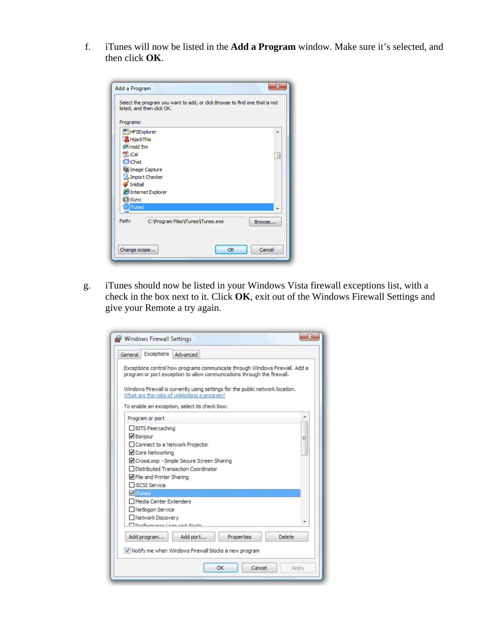f. iTunes will now be listed in the **Add a Program** window. Make sure it's selected, and then click **OK**.

| Add a Program              | 33                                                                          |
|----------------------------|-----------------------------------------------------------------------------|
| listed, and then click OK. | Select the program you want to add, or click Browse to find one that is not |
| Programs:                  |                                                                             |
| <b>HFSExplorer</b>         | ▲                                                                           |
| <b>R</b> HijackThis        |                                                                             |
| <b>Hold Em</b>             |                                                                             |
| <b>DuiCal</b>              |                                                                             |
| <b>D</b> iChat             |                                                                             |
| Image Capture              |                                                                             |
| Import Checker<br>InkBall  |                                                                             |
| EInternet Explorer         |                                                                             |
| C iSync                    |                                                                             |
| iTunes<br><b>Card</b>      |                                                                             |
|                            |                                                                             |
| Path:                      | C: \Program Files\iTunes\Tunes.exe<br>Browse                                |
|                            |                                                                             |
| Change scope               | Cancel<br>OK                                                                |

g. iTunes should now be listed in your Windows Vista firewall exceptions list, with a check in the box next to it. Click **OK**, exit out of the Windows Firewall Settings and give your Remote a try again.

| Exceptions<br>General                                                                           | Advanced                                                                          |                                                                                                                                                                                                                                         |        |
|-------------------------------------------------------------------------------------------------|-----------------------------------------------------------------------------------|-----------------------------------------------------------------------------------------------------------------------------------------------------------------------------------------------------------------------------------------|--------|
|                                                                                                 | What are the risks of unblocking a program?                                       | Exceptions control how programs communicate through Windows Firewall. Add a<br>program or port exception to allow communications through the firewall.<br>Windows Firewall is currently using settings for the public network location. |        |
|                                                                                                 | To enable an exception, select its check box:                                     |                                                                                                                                                                                                                                         |        |
| Program or port                                                                                 |                                                                                   |                                                                                                                                                                                                                                         |        |
| <b>BITS Peercaching</b><br>Bonjour<br>Core Networking                                           | □ Connect to a Network Projector                                                  |                                                                                                                                                                                                                                         | Ξ      |
| File and Printer Sharing<br><b>TISCSI Service</b>                                               | CrossLoop - Simple Secure Screen Sharing<br>□ Distributed Transaction Coordinator |                                                                                                                                                                                                                                         |        |
| <b>V</b> iTunes                                                                                 |                                                                                   |                                                                                                                                                                                                                                         |        |
| Media Center Extenders<br>Netlogon Service<br>Network Discovery<br>Clarksmannen Lann and Alarks |                                                                                   |                                                                                                                                                                                                                                         |        |
| Add program                                                                                     | Add port                                                                          | <b>Properties</b><br>V Notify me when Windows Firewall blocks a new program                                                                                                                                                             | Delete |